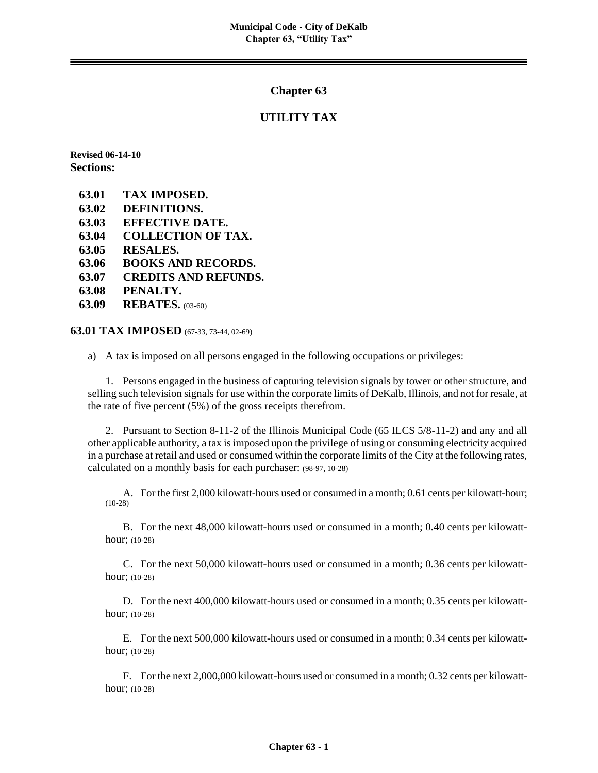#### **Chapter 63**

#### **UTILITY TAX**

**Revised 06-14-10 Sections:**

- **63.01 TAX IMPOSED.**
- **63.02 DEFINITIONS.**
- **63.03 EFFECTIVE DATE.**
- **63.04 COLLECTION OF TAX.**
- **63.05 RESALES.**
- **63.06 BOOKS AND RECORDS.**
- **63.07 CREDITS AND REFUNDS.**
- **63.08 PENALTY.**
- **63.09 REBATES.** (03-60)

**63.01 TAX IMPOSED** (67-33, 73-44, 02-69)

a) A tax is imposed on all persons engaged in the following occupations or privileges:

1. Persons engaged in the business of capturing television signals by tower or other structure, and selling such television signals for use within the corporate limits of DeKalb, Illinois, and not for resale, at the rate of five percent (5%) of the gross receipts therefrom.

2. Pursuant to Section 8-11-2 of the Illinois Municipal Code (65 ILCS 5/8-11-2) and any and all other applicable authority, a tax is imposed upon the privilege of using or consuming electricity acquired in a purchase at retail and used or consumed within the corporate limits of the City at the following rates, calculated on a monthly basis for each purchaser: (98-97, 10-28)

A. For the first 2,000 kilowatt-hours used or consumed in a month; 0.61 cents per kilowatt-hour; (10-28)

B. For the next 48,000 kilowatt-hours used or consumed in a month; 0.40 cents per kilowatthour; (10-28)

C. For the next 50,000 kilowatt-hours used or consumed in a month; 0.36 cents per kilowatthour; (10-28)

D. For the next 400,000 kilowatt-hours used or consumed in a month; 0.35 cents per kilowatthour; (10-28)

E. For the next 500,000 kilowatt-hours used or consumed in a month; 0.34 cents per kilowatthour; (10-28)

F. For the next 2,000,000 kilowatt-hours used or consumed in a month; 0.32 cents per kilowatthour; (10-28)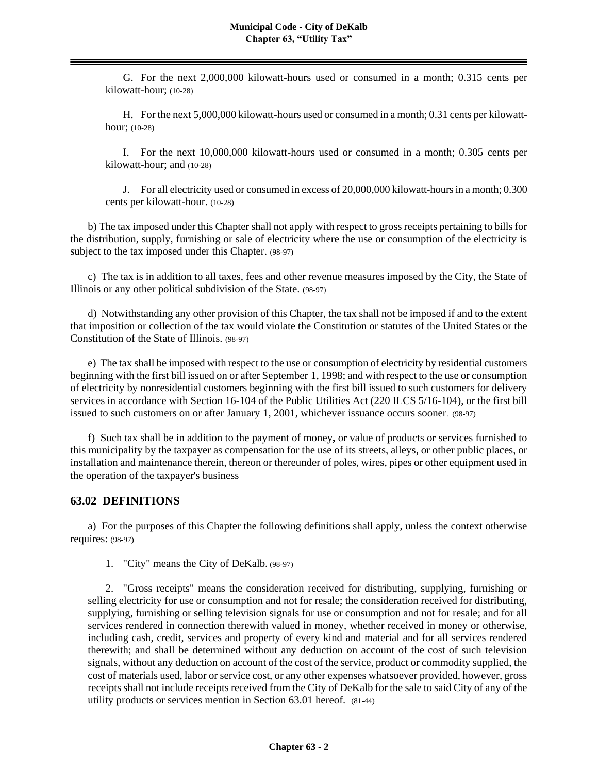G. For the next 2,000,000 kilowatt-hours used or consumed in a month; 0.315 cents per kilowatt-hour; (10-28)

H. For the next 5,000,000 kilowatt-hours used or consumed in a month; 0.31 cents per kilowatthour; (10-28)

I. For the next 10,000,000 kilowatt-hours used or consumed in a month; 0.305 cents per kilowatt-hour; and (10-28)

J. For all electricity used or consumed in excess of 20,000,000 kilowatt-hours in a month; 0.300 cents per kilowatt-hour. (10-28)

b) The tax imposed under this Chapter shall not apply with respect to gross receipts pertaining to bills for the distribution, supply, furnishing or sale of electricity where the use or consumption of the electricity is subject to the tax imposed under this Chapter. (98-97)

c) The tax is in addition to all taxes, fees and other revenue measures imposed by the City, the State of Illinois or any other political subdivision of the State. (98-97)

d) Notwithstanding any other provision of this Chapter, the tax shall not be imposed if and to the extent that imposition or collection of the tax would violate the Constitution or statutes of the United States or the Constitution of the State of Illinois. (98-97)

e) The tax shall be imposed with respect to the use or consumption of electricity by residential customers beginning with the first bill issued on or after September 1, 1998; and with respect to the use or consumption of electricity by nonresidential customers beginning with the first bill issued to such customers for delivery services in accordance with Section 16-104 of the Public Utilities Act (220 ILCS 5/16-104), or the first bill issued to such customers on or after January 1, 2001, whichever issuance occurs sooner. (98-97)

f) Such tax shall be in addition to the payment of money**,** or value of products or services furnished to this municipality by the taxpayer as compensation for the use of its streets, alleys, or other public places, or installation and maintenance therein, thereon or thereunder of poles, wires, pipes or other equipment used in the operation of the taxpayer's business

# **63.02 DEFINITIONS**

a) For the purposes of this Chapter the following definitions shall apply, unless the context otherwise requires: (98-97)

1. "City" means the City of DeKalb. (98-97)

2. "Gross receipts" means the consideration received for distributing, supplying, furnishing or selling electricity for use or consumption and not for resale; the consideration received for distributing, supplying, furnishing or selling television signals for use or consumption and not for resale; and for all services rendered in connection therewith valued in money, whether received in money or otherwise, including cash, credit, services and property of every kind and material and for all services rendered therewith; and shall be determined without any deduction on account of the cost of such television signals, without any deduction on account of the cost of the service, product or commodity supplied, the cost of materials used, labor or service cost, or any other expenses whatsoever provided, however, gross receipts shall not include receipts received from the City of DeKalb for the sale to said City of any of the utility products or services mention in Section 63.01 hereof. (81-44)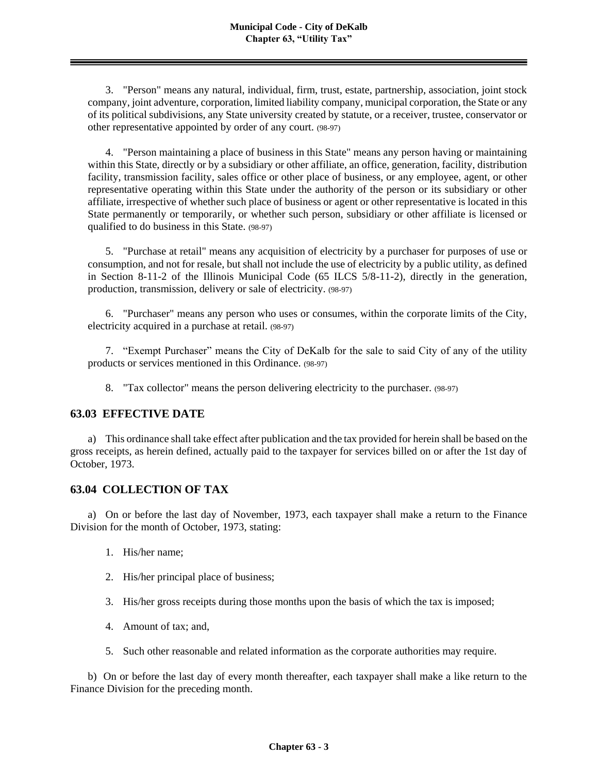3. "Person" means any natural, individual, firm, trust, estate, partnership, association, joint stock company, joint adventure, corporation, limited liability company, municipal corporation, the State or any of its political subdivisions, any State university created by statute, or a receiver, trustee, conservator or other representative appointed by order of any court. (98-97)

4. "Person maintaining a place of business in this State" means any person having or maintaining within this State, directly or by a subsidiary or other affiliate, an office, generation, facility, distribution facility, transmission facility, sales office or other place of business, or any employee, agent, or other representative operating within this State under the authority of the person or its subsidiary or other affiliate, irrespective of whether such place of business or agent or other representative is located in this State permanently or temporarily, or whether such person, subsidiary or other affiliate is licensed or qualified to do business in this State. (98-97)

5. "Purchase at retail" means any acquisition of electricity by a purchaser for purposes of use or consumption, and not for resale, but shall not include the use of electricity by a public utility, as defined in Section 8-11-2 of the Illinois Municipal Code (65 ILCS 5/8-11-2), directly in the generation, production, transmission, delivery or sale of electricity. (98-97)

6. "Purchaser" means any person who uses or consumes, within the corporate limits of the City, electricity acquired in a purchase at retail. (98-97)

7. "Exempt Purchaser" means the City of DeKalb for the sale to said City of any of the utility products or services mentioned in this Ordinance. (98-97)

8. "Tax collector" means the person delivering electricity to the purchaser. (98-97)

# **63.03 EFFECTIVE DATE**

a) This ordinance shall take effect after publication and the tax provided for herein shall be based on the gross receipts, as herein defined, actually paid to the taxpayer for services billed on or after the 1st day of October, 1973.

# **63.04 COLLECTION OF TAX**

a) On or before the last day of November, 1973, each taxpayer shall make a return to the Finance Division for the month of October, 1973, stating:

- 1. His/her name;
- 2. His/her principal place of business;
- 3. His/her gross receipts during those months upon the basis of which the tax is imposed;
- 4. Amount of tax; and,
- 5. Such other reasonable and related information as the corporate authorities may require.

b) On or before the last day of every month thereafter, each taxpayer shall make a like return to the Finance Division for the preceding month.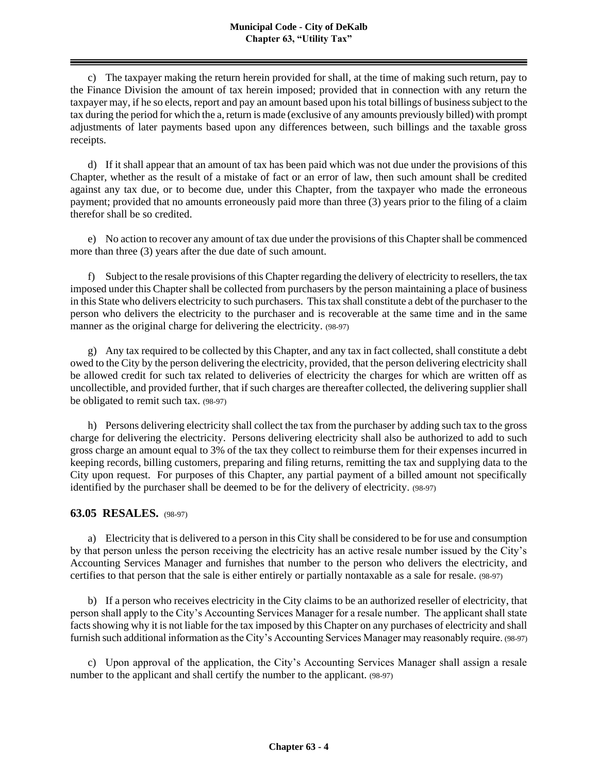c) The taxpayer making the return herein provided for shall, at the time of making such return, pay to the Finance Division the amount of tax herein imposed; provided that in connection with any return the taxpayer may, if he so elects, report and pay an amount based upon his total billings of business subject to the tax during the period for which the a, return is made (exclusive of any amounts previously billed) with prompt adjustments of later payments based upon any differences between, such billings and the taxable gross receipts.

d) If it shall appear that an amount of tax has been paid which was not due under the provisions of this Chapter, whether as the result of a mistake of fact or an error of law, then such amount shall be credited against any tax due, or to become due, under this Chapter, from the taxpayer who made the erroneous payment; provided that no amounts erroneously paid more than three (3) years prior to the filing of a claim therefor shall be so credited.

e) No action to recover any amount of tax due under the provisions of this Chapter shall be commenced more than three (3) years after the due date of such amount.

f) Subject to the resale provisions of this Chapter regarding the delivery of electricity to resellers, the tax imposed under this Chapter shall be collected from purchasers by the person maintaining a place of business in this State who delivers electricity to such purchasers. This tax shall constitute a debt of the purchaser to the person who delivers the electricity to the purchaser and is recoverable at the same time and in the same manner as the original charge for delivering the electricity. (98-97)

g) Any tax required to be collected by this Chapter, and any tax in fact collected, shall constitute a debt owed to the City by the person delivering the electricity, provided, that the person delivering electricity shall be allowed credit for such tax related to deliveries of electricity the charges for which are written off as uncollectible, and provided further, that if such charges are thereafter collected, the delivering supplier shall be obligated to remit such tax. (98-97)

h) Persons delivering electricity shall collect the tax from the purchaser by adding such tax to the gross charge for delivering the electricity. Persons delivering electricity shall also be authorized to add to such gross charge an amount equal to 3% of the tax they collect to reimburse them for their expenses incurred in keeping records, billing customers, preparing and filing returns, remitting the tax and supplying data to the City upon request. For purposes of this Chapter, any partial payment of a billed amount not specifically identified by the purchaser shall be deemed to be for the delivery of electricity. (98-97)

# **63.05 RESALES.** (98-97)

a) Electricity that is delivered to a person in this City shall be considered to be for use and consumption by that person unless the person receiving the electricity has an active resale number issued by the City's Accounting Services Manager and furnishes that number to the person who delivers the electricity, and certifies to that person that the sale is either entirely or partially nontaxable as a sale for resale. (98-97)

b) If a person who receives electricity in the City claims to be an authorized reseller of electricity, that person shall apply to the City's Accounting Services Manager for a resale number. The applicant shall state facts showing why it is not liable for the tax imposed by this Chapter on any purchases of electricity and shall furnish such additional information as the City's Accounting Services Manager may reasonably require. (98-97)

c) Upon approval of the application, the City's Accounting Services Manager shall assign a resale number to the applicant and shall certify the number to the applicant. (98-97)